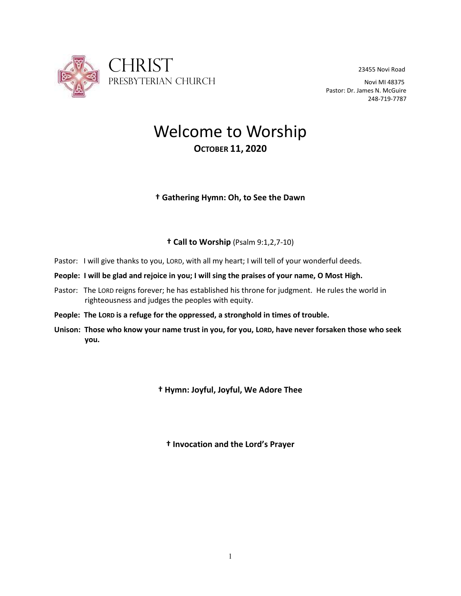

Pastor: Dr. James N. McGuire 248-719-7787

# Welcome to Worship **OCTOBER 11, 2020**

# **† Gathering Hymn: Oh, to See the Dawn**

# **† Call to Worship** (Psalm 9:1,2,7-10)

- Pastor: I will give thanks to you, LORD, with all my heart; I will tell of your wonderful deeds.
- **People: I will be glad and rejoice in you; I will sing the praises of your name, O Most High.**
- Pastor: The LORD reigns forever; he has established his throne for judgment. He rules the world in righteousness and judges the peoples with equity.
- **People: The LORD is a refuge for the oppressed, a stronghold in times of trouble.**
- **Unison: Those who know your name trust in you, for you, LORD, have never forsaken those who seek you.**

**† Hymn: Joyful, Joyful, We Adore Thee**

**† Invocation and the Lord's Prayer**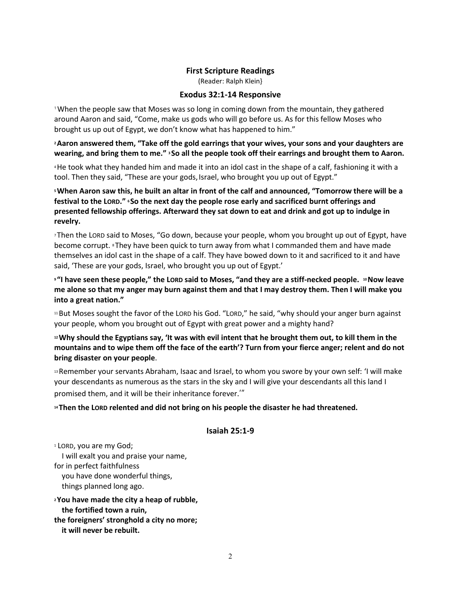#### **First Scripture Readings**

(Reader: Ralph Klein}

#### **Exodus 32:1-14 Responsive**

<sup>1</sup>When the people saw that Moses was so long in coming down from the mountain, they gathered around Aaron and said, "Come, make us gods who will go before us. As for this fellow Moses who brought us up out of Egypt, we don't know what has happened to him."

## **<sup>2</sup>Aaron answered them, "Take off the gold earrings that your wives, your sons and your daughters are wearing, and bring them to me." <sup>3</sup> So all the people took off their earrings and brought them to Aaron.**

<sup>4</sup>He took what they handed him and made it into an idol cast in the shape of a calf, fashioning it with a tool. Then they said, "These are your gods, Israel, who brought you up out of Egypt."

**<sup>5</sup>When Aaron saw this, he built an altar in front of the calf and announced, "Tomorrow there will be a festival to the LORD." <sup>6</sup> So the next day the people rose early and sacrificed burnt offerings and presented fellowship offerings. Afterward they sat down to eat and drink and got up to indulge in revelry.**

<sup>7</sup> Then the LORD said to Moses, "Go down, because your people, whom you brought up out of Egypt, have become corrupt. <sup>8</sup> They have been quick to turn away from what I commanded them and have made themselves an idol cast in the shape of a calf. They have bowed down to it and sacrificed to it and have said, 'These are your gods, Israel, who brought you up out of Egypt.'

**9 "I** have seen these people," the LORD said to Moses, "and they are a stiff-necked people. <sup>10</sup> Now leave **me alone so that my anger may burn against them and that I may destroy them. Then I will make you into a great nation."**

<sup>11</sup>But Moses sought the favor of the LORD his God. "LORD," he said, "why should your anger burn against your people, whom you brought out of Egypt with great power and a mighty hand?

**<sup>12</sup>Why should the Egyptians say, 'It was with evil intent that he brought them out, to kill them in the mountains and to wipe them off the face of the earth'? Turn from your fierce anger; relent and do not bring disaster on your people**.

<sup>13</sup>Remember your servants Abraham, Isaac and Israel, to whom you swore by your own self: 'I will make your descendants as numerous as the stars in the sky and I will give your descendants all this land I promised them, and it will be their inheritance forever.'"

## **<sup>14</sup> Then the LORD relented and did not bring on his people the disaster he had threatened.**

#### **Isaiah 25:1-9**

<sup>1</sup> LORD, you are my God; I will exalt you and praise your name, for in perfect faithfulness you have done wonderful things, things planned long ago. **<sup>2</sup>You have made the city a heap of rubble,**

 **the fortified town a ruin, the foreigners' stronghold a city no more; it will never be rebuilt.**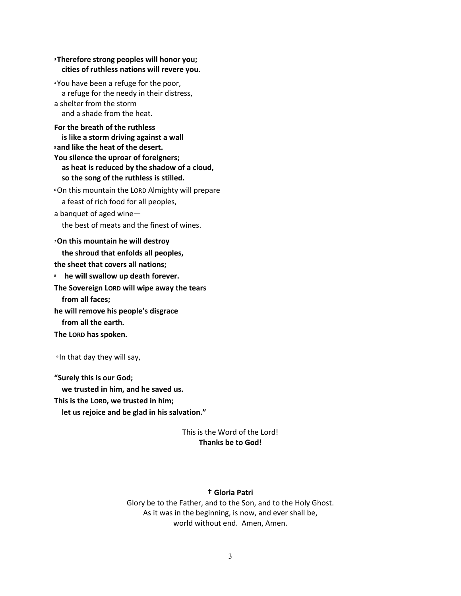## **<sup>3</sup> Therefore strong peoples will honor you; cities of ruthless nations will revere you.**

<sup>4</sup> You have been a refuge for the poor, a refuge for the needy in their distress, a shelter from the storm and a shade from the heat.

## **For the breath of the ruthless is like a storm driving against a wall <sup>5</sup> and like the heat of the desert. You silence the uproar of foreigners; as heat is reduced by the shadow of a cloud, so the song of the ruthless is stilled.**

**<sup>6</sup>**On this mountain the LORD Almighty will prepare a feast of rich food for all peoples,

a banquet of aged wine—

the best of meats and the finest of wines.

#### **<sup>7</sup>On this mountain he will destroy**

 **the shroud that enfolds all peoples, the sheet that covers all nations; 8 he will swallow up death forever. The Sovereign LORD will wipe away the tears from all faces; he will remove his people's disgrace**

 **from all the earth.**

**The LORD has spoken.**

**<sup>9</sup>** In that day they will say,

**"Surely this is our God; we trusted in him, and he saved us.**

**This is the LORD, we trusted in him;**

 **let us rejoice and be glad in his salvation."**

## This is the Word of the Lord! **Thanks be to God!**

## **† Gloria Patri**

Glory be to the Father, and to the Son, and to the Holy Ghost. As it was in the beginning, is now, and ever shall be, world without end. Amen, Amen.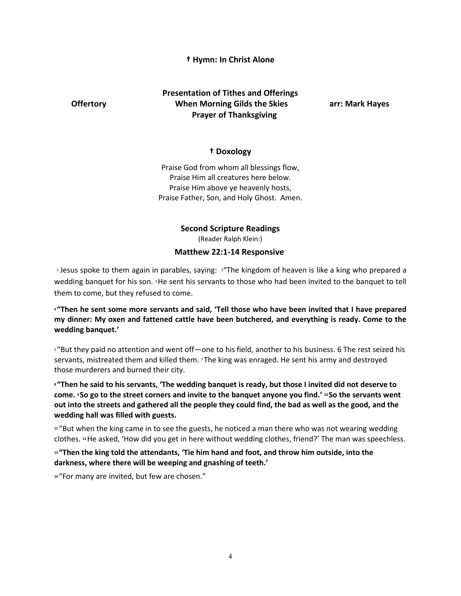## **† Hymn: In Christ Alone**

# **Presentation of Tithes and Offerings Offertory When Morning Gilds the Skies arr: Mark Hayes Prayer of Thanksgiving**

## **† Doxology**

Praise God from whom all blessings flow, Praise Him all creatures here below. Praise Him above ye heavenly hosts, Praise Father, Son, and Holy Ghost. Amen.

#### **Second Scripture Readings**

(Reader Ralph Klein:)

#### **Matthew 22:1-14 Responsive**

<sup>1</sup> Jesus spoke to them again in parables, saying: <sup>2</sup>"The kingdom of heaven is like a king who prepared a wedding banquet for his son. <sup>3</sup>He sent his servants to those who had been invited to the banquet to tell them to come, but they refused to come.

**<sup>4</sup> "Then he sent some more servants and said, 'Tell those who have been invited that I have prepared my dinner: My oxen and fattened cattle have been butchered, and everything is ready. Come to the wedding banquet.'**

<sup>5</sup> "But they paid no attention and went off—one to his field, another to his business. 6 The rest seized his servants, mistreated them and killed them. 7 The king was enraged. He sent his army and destroyed those murderers and burned their city.

**<sup>8</sup> "Then he said to his servants, 'The wedding banquet is ready, but those I invited did not deserve to come. <sup>9</sup> So go to the street corners and invite to the banquet anyone you find.' <sup>10</sup> So the servants went out into the streets and gathered all the people they could find, the bad as well as the good, and the wedding hall was filled with guests.**

**<sup>11</sup>** "But when the king came in to see the guests, he noticed a man there who was not wearing wedding clothes. **<sup>12</sup>**He asked, 'How did you get in here without wedding clothes, friend?' The man was speechless.

**<sup>13</sup> "Then the king told the attendants, 'Tie him hand and foot, and throw him outside, into the darkness, where there will be weeping and gnashing of teeth.'**

**<sup>14</sup>** "For many are invited, but few are chosen."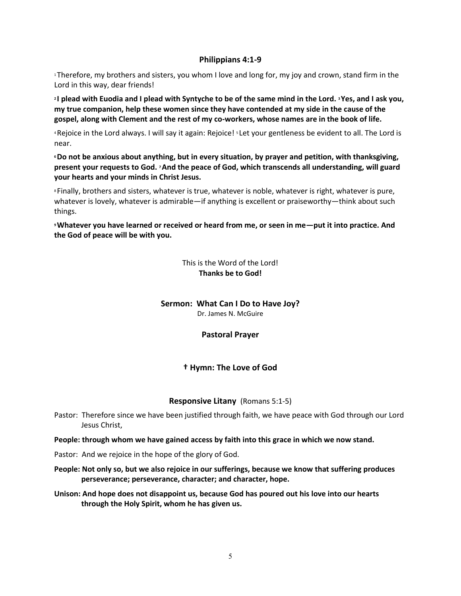## **Philippians 4:1-9**

<sup>1</sup>Therefore, my brothers and sisters, you whom I love and long for, my joy and crown, stand firm in the Lord in this way, dear friends!

**<sup>2</sup> I plead with Euodia and I plead with Syntyche to be of the same mind in the Lord. <sup>3</sup>Yes, and I ask you, my true companion, help these women since they have contended at my side in the cause of the gospel, along with Clement and the rest of my co-workers, whose names are in the book of life.**

<sup>4</sup>Rejoice in the Lord always. I will say it again: Rejoice! <sup>5</sup> Let your gentleness be evident to all. The Lord is near.

**<sup>6</sup>Do not be anxious about anything, but in every situation, by prayer and petition, with thanksgiving, present your requests to God. <sup>7</sup>And the peace of God, which transcends all understanding, will guard your hearts and your minds in Christ Jesus.**

<sup>8</sup> Finally, brothers and sisters, whatever is true, whatever is noble, whatever is right, whatever is pure, whatever is lovely, whatever is admirable—if anything is excellent or praiseworthy—think about such things.

**<sup>9</sup>Whatever you have learned or received or heard from me, or seen in me—put it into practice. And the God of peace will be with you.**

> This is the Word of the Lord! **Thanks be to God!**

#### **Sermon: What Can I Do to Have Joy?**

Dr. James N. McGuire

## **Pastoral Prayer**

## **† Hymn: The Love of God**

#### **Responsive Litany** (Romans 5:1-5)

- Pastor: Therefore since we have been justified through faith, we have peace with God through our Lord Jesus Christ,
- **People: through whom we have gained access by faith into this grace in which we now stand.**
- Pastor: And we rejoice in the hope of the glory of God.
- **People: Not only so, but we also rejoice in our sufferings, because we know that suffering produces perseverance; perseverance, character; and character, hope.**
- **Unison: And hope does not disappoint us, because God has poured out his love into our hearts through the Holy Spirit, whom he has given us.**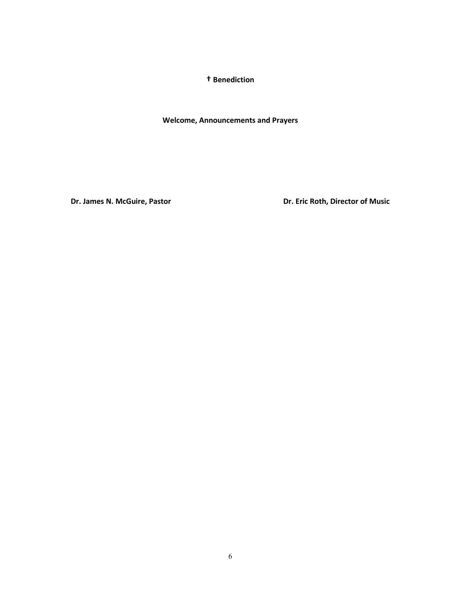**† Benediction**

**Welcome, Announcements and Prayers**

**Dr. James N. McGuire, Pastor Camella Community Community Pressure Dr. Eric Roth, Director of Music**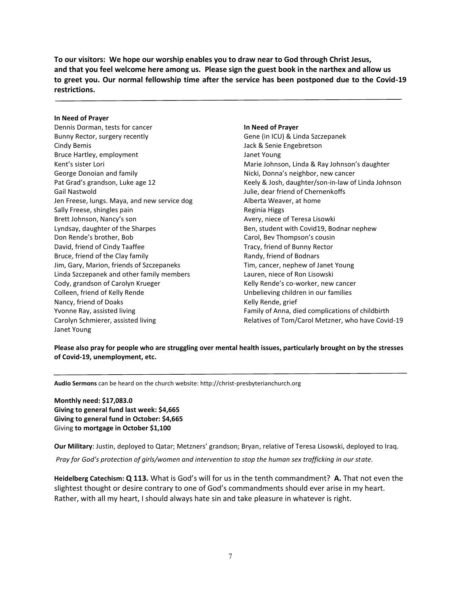**To our visitors: We hope our worship enables you to draw near to God through Christ Jesus, and that you feel welcome here among us. Please sign the guest book in the narthex and allow us to greet you. Our normal fellowship time after the service has been postponed due to the Covid-19 restrictions.**

#### **In Need of Prayer**

Dennis Dorman, tests for cancer Bunny Rector, surgery recently Cindy Bemis Bruce Hartley, employment Kent's sister Lori George Donoian and family Pat Grad's grandson, Luke age 12 Gail Nastwold Jen Freese, lungs. Maya, and new service dog Sally Freese, shingles pain Brett Johnson, Nancy's son Lyndsay, daughter of the Sharpes Don Rende's brother, Bob David, friend of Cindy Taaffee Bruce, friend of the Clay family Jim, Gary, Marion, friends of Szczepaneks Linda Szczepanek and other family members Cody, grandson of Carolyn Krueger Colleen, friend of Kelly Rende Nancy, friend of Doaks Yvonne Ray, assisted living Carolyn Schmierer, assisted living Janet Young

#### **In Need of Prayer**

Gene (in ICU) & Linda Szczepanek Jack & Senie Engebretson Janet Young Marie Johnson, Linda & Ray Johnson's daughter Nicki, Donna's neighbor, new cancer Keely & Josh, daughter/son-in-law of Linda Johnson Julie, dear friend of Chernenkoffs Alberta Weaver, at home Reginia Higgs Avery, niece of Teresa Lisowki Ben, student with Covid19, Bodnar nephew Carol, Bev Thompson's cousin Tracy, friend of Bunny Rector Randy, friend of Bodnars Tim, cancer, nephew of Janet Young Lauren, niece of Ron Lisowski Kelly Rende's co-worker, new cancer Unbelieving children in our families Kelly Rende, grief Family of Anna, died complications of childbirth Relatives of Tom/Carol Metzner, who have Covid-19

**Please also pray for people who are struggling over mental health issues, particularly brought on by the stresses of Covid-19, unemployment, etc.**

**Audio Sermons** can be heard on the church website: http://christ-presbyterianchurch.org

**Monthly need: \$17,083.0 Giving to general fund last week: \$4,665 Giving to general fund in October: \$4,665** Giving **to mortgage in October \$1,100**

**Our Military**: Justin, deployed to Qatar; Metzners' grandson; Bryan, relative of Teresa Lisowski, deployed to Iraq.

*Pray for God's protection of girls/women and intervention to stop the human sex trafficking in our state.*

**Heidelberg Catechism: Q 113.** What is God's will for us in the tenth commandment? **A.** That not even the slightest thought or desire contrary to one of God's commandments should ever arise in my heart. Rather, with all my heart, I should always hate sin and take pleasure in whatever is right.